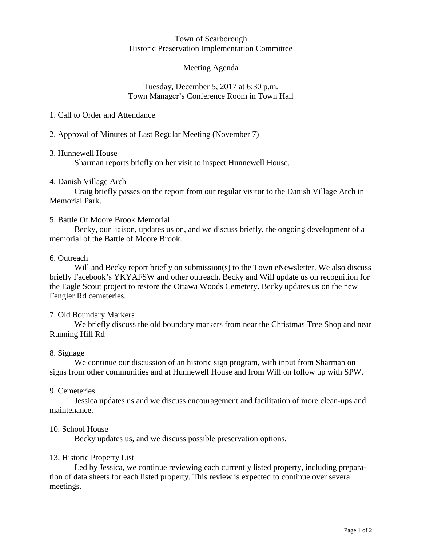#### Town of Scarborough Historic Preservation Implementation Committee

## Meeting Agenda

### Tuesday, December 5, 2017 at 6:30 p.m. Town Manager's Conference Room in Town Hall

### 1. Call to Order and Attendance

## 2. Approval of Minutes of Last Regular Meeting (November 7)

## 3. Hunnewell House

Sharman reports briefly on her visit to inspect Hunnewell House.

## 4. Danish Village Arch

Craig briefly passes on the report from our regular visitor to the Danish Village Arch in Memorial Park.

## 5. Battle Of Moore Brook Memorial

Becky, our liaison, updates us on, and we discuss briefly, the ongoing development of a memorial of the Battle of Moore Brook.

#### 6. Outreach

Will and Becky report briefly on submission(s) to the Town eNewsletter. We also discuss briefly Facebook's YKYAFSW and other outreach. Becky and Will update us on recognition for the Eagle Scout project to restore the Ottawa Woods Cemetery. Becky updates us on the new Fengler Rd cemeteries.

#### 7. Old Boundary Markers

We briefly discuss the old boundary markers from near the Christmas Tree Shop and near Running Hill Rd

#### 8. Signage

We continue our discussion of an historic sign program, with input from Sharman on signs from other communities and at Hunnewell House and from Will on follow up with SPW.

#### 9. Cemeteries

Jessica updates us and we discuss encouragement and facilitation of more clean-ups and maintenance.

#### 10. School House

Becky updates us, and we discuss possible preservation options.

#### 13. Historic Property List

Led by Jessica, we continue reviewing each currently listed property, including preparation of data sheets for each listed property. This review is expected to continue over several meetings.